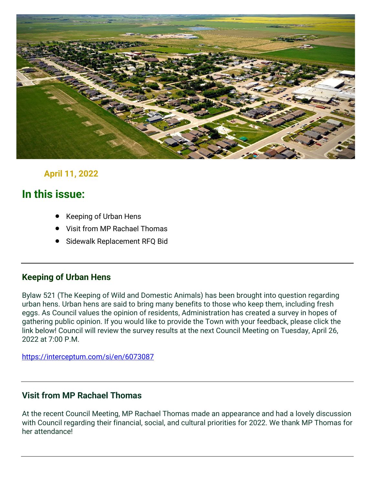

## **April 11, 2022**

# **In this issue:**

- Keeping of Urban Hens
- Visit from MP Rachael Thomas
- Sidewalk Replacement RFQ Bid

#### **Keeping of Urban Hens**

Bylaw 521 (The Keeping of Wild and Domestic Animals) has been brought into question regarding urban hens. Urban hens are said to bring many benefits to those who keep them, including fresh eggs. As Council values the opinion of residents, Administration has created a survey in hopes of gathering public opinion. If you would like to provide the Town with your feedback, please click the link below! Council will review the survey results at the next Council Meeting on Tuesday, April 26, 2022 at 7:00 P.M.

<https://interceptum.com/si/en/6073087>

#### **Visit from MP Rachael Thomas**

At the recent Council Meeting, MP Rachael Thomas made an appearance and had a lovely discussion with Council regarding their financial, social, and cultural priorities for 2022. We thank MP Thomas for her attendance!